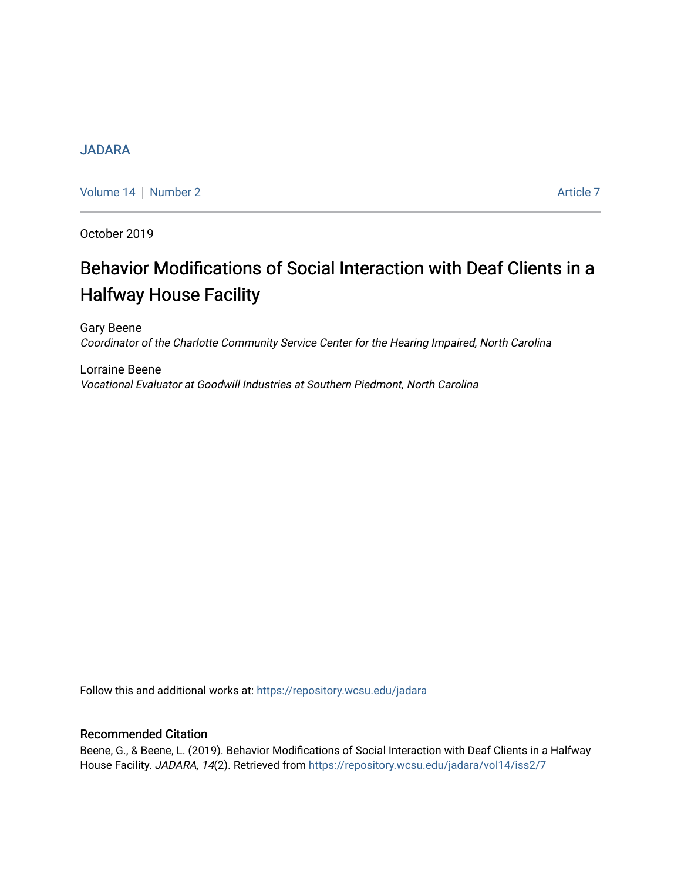# [JADARA](https://repository.wcsu.edu/jadara)

[Volume 14](https://repository.wcsu.edu/jadara/vol14) | [Number 2](https://repository.wcsu.edu/jadara/vol14/iss2) Article 7

October 2019

# Behavior Modifications of Social Interaction with Deaf Clients in a Halfway House Facility

Gary Beene Coordinator of the Charlotte Community Service Center for the Hearing Impaired, North Carolina

Lorraine Beene Vocational Evaluator at Goodwill Industries at Southern Piedmont, North Carolina

Follow this and additional works at: [https://repository.wcsu.edu/jadara](https://repository.wcsu.edu/jadara?utm_source=repository.wcsu.edu%2Fjadara%2Fvol14%2Fiss2%2F7&utm_medium=PDF&utm_campaign=PDFCoverPages)

# Recommended Citation

Beene, G., & Beene, L. (2019). Behavior Modifications of Social Interaction with Deaf Clients in a Halfway House Facility. JADARA, 14(2). Retrieved from [https://repository.wcsu.edu/jadara/vol14/iss2/7](https://repository.wcsu.edu/jadara/vol14/iss2/7?utm_source=repository.wcsu.edu%2Fjadara%2Fvol14%2Fiss2%2F7&utm_medium=PDF&utm_campaign=PDFCoverPages)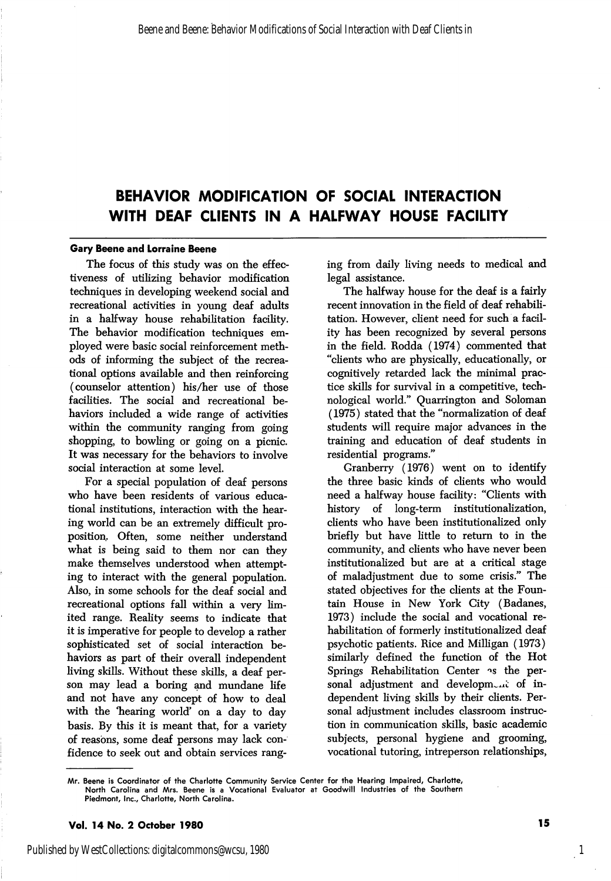# BEHAVIOR MODIFICATION OF SOCIAL INTERACTION WITH DEAF CLIENTS IN A HALFWAY HOUSE FACILITY

#### Gary Beene and Lorraine Beene

The focus of this study was on the effec tiveness of utilizing behavior modification techniques in developing weekend social and recreational activities in young deaf adults in a halfway house rehabilitation facility. The behavior modification techniques em ployed were basic social reinforcement meth ods of informing the subject of the recrea tional options available and then reinforcing (counselor attention) his/her use of those facilities. The social and recreational be haviors included a wide range of activities within the community ranging from going shopping, to bowling or going on a picnic. It was necessary for the behaviors to involve social interaction at some level.

For a special population of deaf persons who have been residents of various educa tional institutions, interaction with the hear ing world can be an extremely difficult pro position. Often, some neither understand what is being said to them nor can they make themselves understood when attempt ing to interact with the general population. Also, in some schools for the deaf social and recreational options fall within a very lim ited range. Reality seems to indicate that it is imperative for people to develop a rather sophisticated set of social interaction be haviors as part of their overall independent living skills. Without these skills, a deaf person may lead a boring and mundane life and not have any concept of how to deal with the 'hearing world' on a day to day basis. By this it is meant that, for a variety of reasons, some deaf persons may lack con fidence to seek out and obtain services rang

ing from daily living needs to medical and legal assistance.

The halfway house for the deaf is a fairly recent innovation in the field of deaf rehabili tation. However, client need for such a facil ity has been recognized by several persons in the field. Rodda (1974) commented that "clients who are physically, educationally, or cognitively retarded lack the minimal prac tice skills for survival in a competitive, tech nological world." Quarrington and Soloman (1975) stated that the "normalization of deaf students will require major advances in the training and education of deaf students in residential programs."

Cranberry (1976) went on to identify the three basic kinds of clients who would need a halfway house facility: "Clients with history of long-term institutionalization, clients who have been institutionalized only briefly but have little to return to in the community, and clients who have never been institutionalized but are at a critical stage of maladjustment due to some crisis." The stated objectives for the clients at the Foun tain House in New York City (Badanes, 1973) include the social and vocational re habilitation of formerly institutionalized deaf psychotic patients. Rice and Milligan (1973) similarly defined the function of the Hot Springs Rehabilitation Center as the personal adjustment and development of independent living skills by their clients. Per sonal adjustment includes classroom instruc tion in communication skills, basic academic subjects, personal hygiene and grooming, vocational tutoring, intreperson relationships,

Vol. 14 No. 2 October 1980 15

Mr. Beene is Coordinator of the Charlotte Community Service Center for the Hearing Impaired, Charlotte, North Carolina and Mrs. Beene is a Vocational Evaluator at Goodwill Industries of the Southern Piedmont, Inc., Charlotte, North Carolina.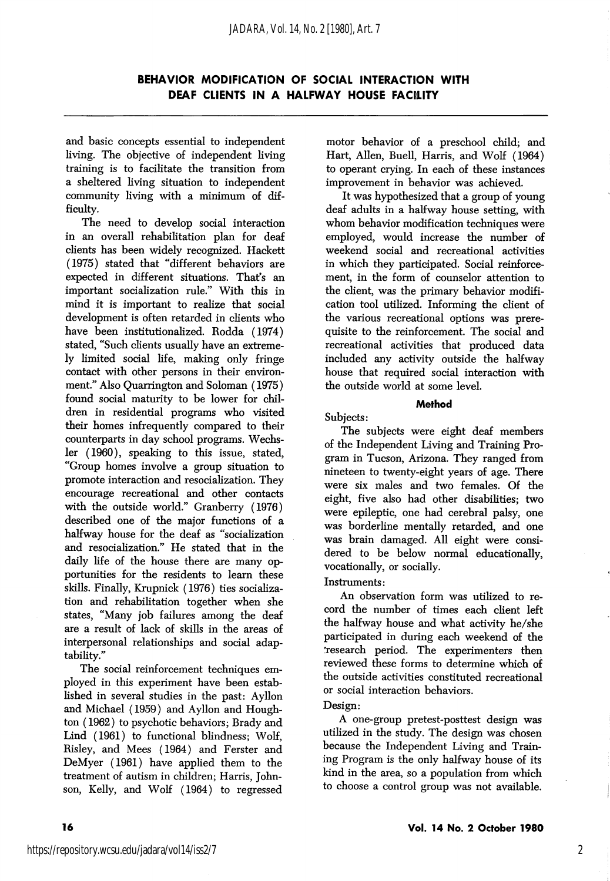and basic concepts essential to independent living. The objective of independent living training is to facilitate the transition from a sheltered living situation to independent community living with a minimum of dif ficulty.

The need to develop social interaction in an overall rehabilitation plan for deaf clients has been widely recognized. Hackett (1975) stated that "different behaviors are expected in different situations. That's an important socialization rule." With this in mind it is important to realize that social development is often retarded in clients who have been institutionalized. Rodda (1974) stated, "Such clients usually have an extreme ly limited social life, making only fringe contact with other persons in their environ ment." Also Quarrington and Soloman (1975) found social maturity to be lower for chil dren in residential programs who visited their homes infrequently compared to their counterparts in day school programs. Wechsler (1960), speaking to this issue, stated, "Group homes involve a group situation to promote interaction and resocialization. They encourage recreational and other contacts with the outside world." Cranberry (1976) described one of the major functions of a halfway house for the deaf as "socialization and resocialization." He stated that in the daily life of the house there are many opportunities for the residents to learn these skills. Finally, Krupnick (1976) ties socialization and rehabihtation together when she states, "Many job failures among the deaf are a result of lack of skills in the areas of interpersonal relationships and social adaptability."

The social reinforcement techniques em ployed in this experiment have been established in several studies in the past: Ayllon and Michael (1959) and Ayllon and Houghton (1962) to psychotic behaviors; Brady and Lind (1961) to functional blindness; Wolf, Risley, and Mees (1964) and Ferster and DeMyer (1961) have applied them to the treatment of autism in children; Harris, John son, Kelly, and Wolf (1964) to regressed motor behavior of a preschool child; and Hart, Allen, Buell, Harris, and Wolf (1964) to operant crying. In each of these instances improvement in behavior was achieved.

It was hypothesized that a group of young deaf adults in a halfway house setting, with whom behavior modification techniques were employed, would increase the number of weekend social and recreational activities in which they participated. Social reinforce ment, in the form of counselor attention to the client, was the primary behavior modification tool utilized. Informing the client of the various recreational options was prere quisite to the reinforcement. The social and recreational activities that produced data included any activity outside the halfway house that required social interaction with the outside world at some level.

#### Method

Subjects:

The subjects were eight deaf members of the Independent Living and Training Pro gram in Tucson, Arizona. They ranged from nineteen to twenty-eight years of age. There were six males and two females. Of the eight, five also had other disabihties; two were epileptic, one had cerebral palsy, one was borderline mentally retarded, and one was brain damaged. All eight were consi dered to be below normal educationally, vocationally, or socially.

#### Instruments:

An observation form was utilized to re cord the number of times each client left the halfway house and what activity he/she participated in during each weekend of the 'research period. The experimenters then reviewed these forms to determine which of the outside activities constituted recreational or social interaction behaviors.

#### Design:

A one-group pretest-posttest design was utilized in the study. The design was chosen because the Independent Living and Train ing Program is the only halfway house of its kind in the area, so a population from which to choose a control group was not available.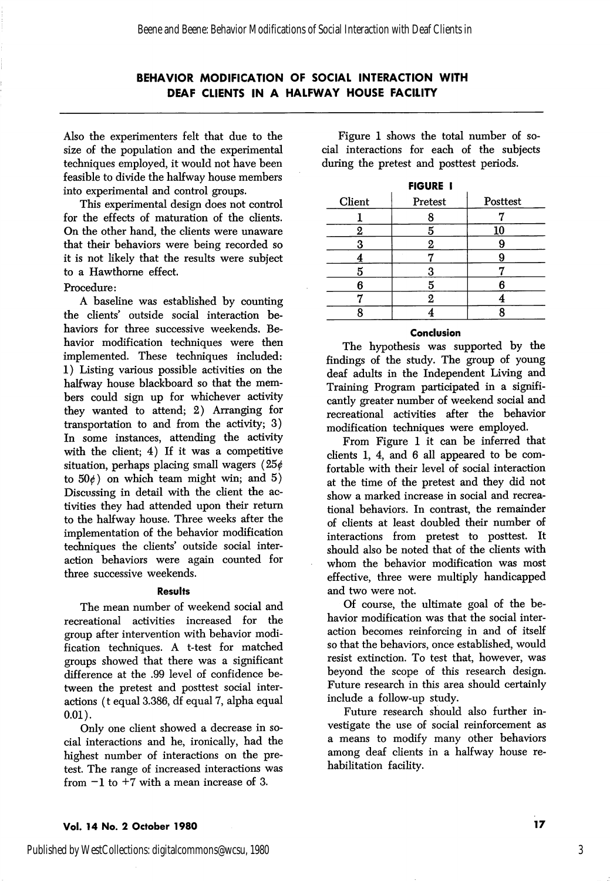## BEHAVIOR MODIFICATION OF SOCIAL INTERACTION WITH DEAF CLIENTS IN A HALFWAY HOUSE FACILITY

Also the experimenters felt that due to the size of the population and the experimental techniques employed, it would not have been feasible to divide the halfway house members into experimental and control groups.

This experimental design does not control for the effects of maturation of the clients. On the other hand, the clients were unaware that their behaviors were being recorded so it is not likely that the results were subject to a Hawthorne effect.

#### Procedure:

A baseline was established by counting the clients' outside social interaction be haviors for three successive weekends. Be havior modification techniques were then implemented. These techniques included: 1) Listing various possible activities on the halfway house blackboard so that the mem bers could sign up for whichever activity they wanted to attend; 2) Arranging for transportation to and from the activity; 3) In some instances, attending the activity with the client; 4) If it was a competitive situation, perhaps placing small wagers  $(25¢$ to  $50<sub>\ell</sub>$ ) on which team might win; and 5) Discussing in detail with the client the ac tivities they had attended upon their return to the halfway house. Three weeks after the implementation of the behavior modification techniques the clients' outside social interaction behaviors were again counted for three successive weekends.

#### Results

The mean number of weekend social and recreational activities increased for the group after intervention with behavior modi fication techniques. A t-test for matched groups showed that there was a significant difference at the .99 level of confidence be tween the pretest and posttest social inter actions (t equal 3.386, df equal 7, alpha equal 0.01).

Only one client showed a decrease in so cial interactions and he, ironically, had the highest number of interactions on the pre test. The range of increased interactions was from  $-1$  to  $+7$  with a mean increase of 3.

Figure 1 shows the total number of so cial interactions for each of the subjects during the pretest and posttest periods.

| <b>FIGURE I</b> |          |
|-----------------|----------|
| Pretest         | Posttest |
| ð               |          |
| 5               | 10       |
| 2               |          |
|                 |          |
| 3               |          |
| 5               |          |
| 2               |          |
|                 |          |
|                 |          |

#### Conclusion

The hypothesis was supported by the findings of the study. The group of young deaf adults in the Independent Living and Training Program participated in a signifi cantly greater number of weekend social and recreational activities after the behavior modification techniques were employed.

From Figure 1 it can be inferred that clients 1, 4, and 6 all appeared to be com fortable with their level of social interaction at the time of the pretest and they did not show a marked increase in social and recrea tional behaviors. In contrast, the remainder of clients at least doubled their number of interactions from pretest to posttest. It should also be noted that of the clients with whom the behavior modification was most effective, three were multiply handicapped and two were not.

Of course, the ultimate goal of the be havior modification was that the social inter action becomes reinforcing in and of itself so that the behaviors, once established, would resist extinction. To test that, however, was beyond the scope of this research design. Future research in this area should certainly include a follow-up study.

Future research should also further in vestigate the use of social reinforcement as a means to modify many other behaviors among deaf clients in a halfway house re habilitation facility.

#### Vol. 14 No. 2 October 1980 17 No. 2 October 1980 17

Published by WestCollections: digitalcommons@wcsu, 1980